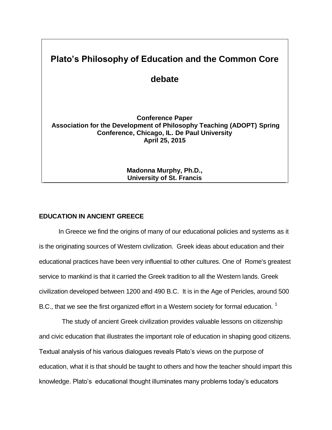# **Plato's Philosophy of Education and the Common Core debate Conference Paper Association for the Development of Philosophy Teaching (ADOPT) Spring Conference, Chicago, IL. De Paul University April 25, 2015**

**Madonna Murphy, Ph.D., University of St. Francis**

# **EDUCATION IN ANCIENT GREECE**

In Greece we find the origins of many of our educational policies and systems as it is the originating sources of Western civilization. Greek ideas about education and their educational practices have been very influential to other cultures. One of Rome's greatest service to mankind is that it carried the Greek tradition to all the Western lands. Greek civilization developed between 1200 and 490 B.C. It is in the Age of Pericles, around 500 B.C., that we see the first organized effort in a Western society for formal education.  $1$ 

The study of ancient Greek civilization provides valuable lessons on citizenship and civic education that illustrates the important role of education in shaping good citizens. Textual analysis of his various dialogues reveals Plato's views on the purpose of education, what it is that should be taught to others and how the teacher should impart this knowledge. Plato's educational thought illuminates many problems today's educators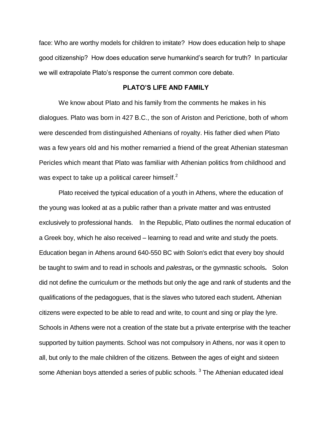face: Who are worthy models for children to imitate? How does education help to shape good citizenship? How does education serve humankind's search for truth? In particular we will extrapolate Plato's response the current common core debate.

## **PLATO'S LIFE AND FAMILY**

We know about Plato and his family from the comments he makes in his dialogues. Plato was born in 427 B.C., the son of Ariston and Perictione, both of whom were descended from distinguished Athenians of royalty. His father died when Plato was a few years old and his mother remarried a friend of the great Athenian statesman Pericles which meant that Plato was familiar with Athenian politics from childhood and was expect to take up a political career himself. $^2$ 

 Plato received the typical education of a youth in Athens, where the education of the young was looked at as a public rather than a private matter and was entrusted exclusively to professional hands. In the Republic, Plato outlines the normal education of a Greek boy, which he also received – learning to read and write and study the poets. Education began in Athens around 640-550 BC with Solon's edict that every boy should be taught to swim and to read in schools and *palestras***,** or the gymnastic schools**.** Solon did not define the curriculum or the methods but only the age and rank of students and the qualifications of the pedagogues, that is the slaves who tutored each student**.** Athenian citizens were expected to be able to read and write, to count and sing or play the lyre. Schools in Athens were not a creation of the state but a private enterprise with the teacher supported by tuition payments. School was not compulsory in Athens, nor was it open to all, but only to the male children of the citizens. Between the ages of eight and sixteen some Athenian boys attended a series of public schools.  $^3$  The Athenian educated ideal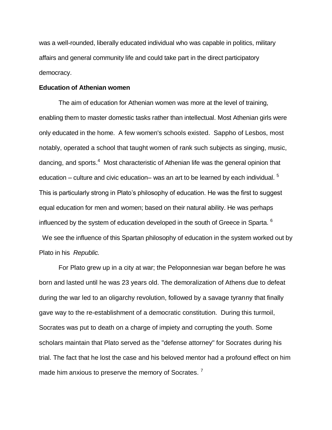was a well-rounded, liberally educated individual who was capable in politics, military affairs and general community life and could take part in the direct participatory democracy.

## **Education of Athenian women**

The aim of education for Athenian women was more at the level of training, enabling them to master domestic tasks rather than intellectual. Most Athenian girls were only educated in the home. A few women's schools existed. Sappho of Lesbos, most notably, operated a school that taught women of rank such subjects as singing, music, dancing, and sports.<sup>4</sup> Most characteristic of Athenian life was the general opinion that education – culture and civic education– was an art to be learned by each individual.  $5$ This is particularly strong in Plato's philosophy of education. He was the first to suggest equal education for men and women; based on their natural ability. He was perhaps influenced by the system of education developed in the south of Greece in Sparta.  $^6$ 

 We see the influence of this Spartan philosophy of education in the system worked out by Plato in his *Republic.*

For Plato grew up in a city at war; the Peloponnesian war began before he was born and lasted until he was 23 years old. The demoralization of Athens due to defeat during the war led to an oligarchy revolution, followed by a savage tyranny that finally gave way to the re-establishment of a democratic constitution. During this turmoil, Socrates was put to death on a charge of impiety and corrupting the youth. Some scholars maintain that Plato served as the "defense attorney" for Socrates during his trial. The fact that he lost the case and his beloved mentor had a profound effect on him made him anxious to preserve the memory of Socrates.<sup>7</sup>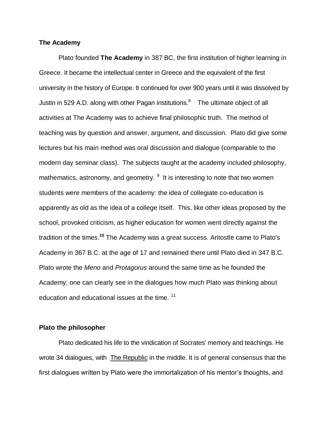## **The Academy**

Plato founded **The Academy** in 387 BC, the first institution of higher learning in Greece. It became the intellectual center in Greece and the equivalent of the first university in the history of Europe. It continued for over 900 years until it was dissolved by Justin in 529 A.D. along with other Pagan institutions.<sup>8</sup> The ultimate object of all activities at The Academy was to achieve final philosophic truth. The method of teaching was by question and answer, argument, and discussion. Plato did give some lectures but his main method was oral discussion and dialogue (comparable to the modern day seminar class). The subjects taught at the academy included philosophy, mathematics, astronomy, and geometry. <sup>9</sup> It is interesting to note that two women students were members of the academy: the idea of collegiate co-education is apparently as old as the idea of a college itself. This, like other ideas proposed by the school, provoked criticism, as higher education for women went directly against the tradition of the times.**<sup>10</sup>** The Academy was a great success. Aritostle came to Plato's Academy in 367 B.C. at the age of 17 and remained there until Plato died in 347 B.C. Plato wrote the *Meno* and *Protagorus* around the same time as he founded the Academy; one can clearly see in the dialogues how much Plato was thinking about education and educational issues at the time.<sup>11</sup>

## **Plato the philosopher**

Plato dedicated his life to the vindication of Socrates' memory and teachings. He wrote 34 dialogues, with **The Republic** in the middle. It is of general consensus that the first dialogues written by Plato were the immortalization of his mentor's thoughts, and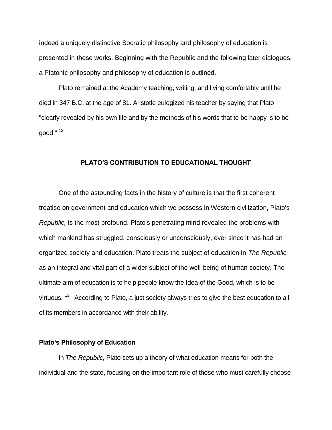indeed a uniquely distinctive Socratic philosophy and philosophy of education is presented in these works. Beginning with the Republic and the following later dialogues, a Platonic philosophy and philosophy of education is outlined.

Plato remained at the Academy teaching, writing, and living comfortably until he died in 347 B.C. at the age of 81. Aristotle eulogized his teacher by saying that Plato "clearly revealed by his own life and by the methods of his words that to be happy is to be good." <sup>12</sup>

## **PLATO'S CONTRIBUTION TO EDUCATIONAL THOUGHT**

One of the astounding facts in the history of culture is that the first coherent treatise on government and education which we possess in Western civilization, Plato's *Republic,* is the most profound. Plato's penetrating mind revealed the problems with which mankind has struggled, consciously or unconsciously, ever since it has had an organized society and education. Plato treats the subject of education in *The Republic* as an integral and vital part of a wider subject of the well-being of human society. The ultimate aim of education is to help people know the Idea of the Good, which is to be virtuous.  $^{13}$  According to Plato, a just society always tries to give the best education to all of its members in accordance with their ability.

## **Plato's Philosophy of Education**

In *The Republic*, Plato sets up a theory of what education means for both the individual and the state, focusing on the important role of those who must carefully choose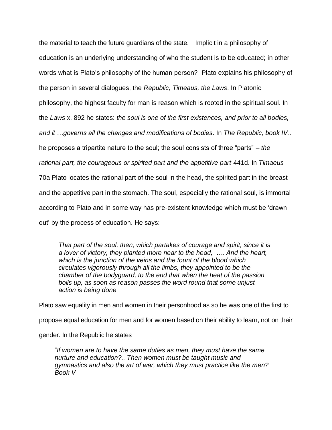the material to teach the future guardians of the state. Implicit in a philosophy of education is an underlying understanding of who the student is to be educated; in other words what is Plato's philosophy of the human person? Plato explains his philosophy of the person in several dialogues, the *Republic, Timeaus, the Laws*. In Platonic philosophy, the highest faculty for man is reason which is rooted in the spiritual soul. In the *Laws* x. 892 he states: *the soul is one of the first existences, and prior to all bodies, and it …governs all the changes and modifications of bodies*. In *The Republic, book IV.*. he proposes a tripartite nature to the soul; the soul consists of three "parts" – *the rational part, the courageous or spirited part and the appetitive part* 441d. In *Timaeus* 70a Plato locates the rational part of the soul in the head, the spirited part in the breast and the appetitive part in the stomach. The soul, especially the rational soul, is immortal according to Plato and in some way has pre-existent knowledge which must be 'drawn out' by the process of education. He says:

*That part of the soul, then, which partakes of courage and spirit, since it is a lover of victory, they planted more near to the head, …. And the heart, which is the junction of the veins and the fount of the blood which circulates vigorously through all the limbs, they appointed to be the chamber of the bodyguard, to the end that when the heat of the passion boils up, as soon as reason passes the word round that some unjust action is being done* 

Plato saw equality in men and women in their personhood as so he was one of the first to propose equal education for men and for women based on their ability to learn, not on their gender. In the Republic he states

"*If women are to have the same duties as men, they must have the same nurture and education?.. Then women must be taught music and gymnastics and also the art of war, which they must practice like the men? Book V*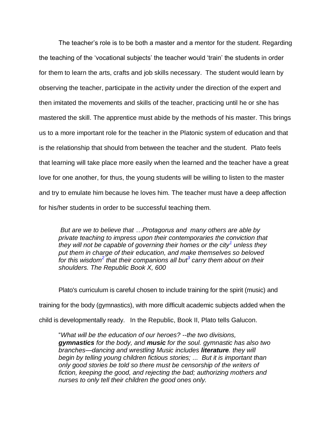The teacher's role is to be both a master and a mentor for the student. Regarding the teaching of the 'vocational subjects' the teacher would 'train' the students in order for them to learn the arts, crafts and job skills necessary. The student would learn by observing the teacher, participate in the activity under the direction of the expert and then imitated the movements and skills of the teacher, practicing until he or she has mastered the skill. The apprentice must abide by the methods of his master. This brings us to a more important role for the teacher in the Platonic system of education and that is the relationship that should from between the teacher and the student. Plato feels that learning will take place more easily when the learned and the teacher have a great love for one another, for thus, the young students will be willing to listen to the master and try to emulate him because he loves him. The teacher must have a deep affection for his/her students in order to be successful teaching them.

*But are we to believe that …Protagorus and many others are able by private teaching to impress upon their contemporaries the conviction that they will not be capable of governing their homes or the city[1](http://www.perseus.tufts.edu/hopper/text?doc=Perseus%3Atext%3A1999.01.0168%3Abook%3D10%3Asection%3D600d#note1) unless they put them in charge of their education, and make themselves so beloved*   $\int$  *for this wisdom<sup>[2](http://www.perseus.tufts.edu/hopper/text?doc=Perseus%3Atext%3A1999.01.0168%3Abook%3D10%3Asection%3D600d#note2)</sup> that their companions all but<sup>[3](http://www.perseus.tufts.edu/hopper/text?doc=Perseus%3Atext%3A1999.01.0168%3Abook%3D10%3Asection%3D600d#note3)</sup> carry them about on their shoulders. The Republic Book X, 600*

Plato's curriculum is careful chosen to include training for the spirit (music) and training for the body (gymnastics), with more difficult academic subjects added when the child is developmentally ready. In the Republic, Book II, Plato tells Galucon.

"*What will be the education of our heroes? --the two divisions, gymnastics for the body, and music for the soul. gymnastic has also two branches—dancing and wrestling Music includes literature. they will begin by telling young children fictious stories; ... But it is important than only good stories be told so there must be censorship of the writers of fiction, keeping the good, and rejecting the bad; authorizing mothers and nurses to only tell their children the good ones only.*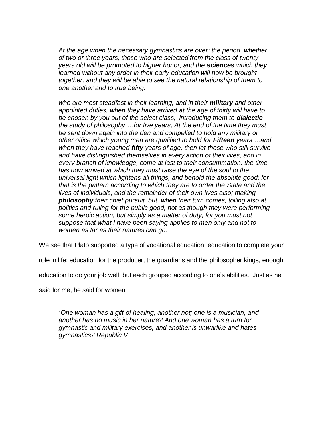*At the age when the necessary gymnastics are over: the period, whether of two or three years, those who are selected from the class of twenty years old will be promoted to higher honor, and the sciences which they learned without any order in their early education will now be brought together, and they will be able to see the natural relationship of them to one another and to true being.*

*who are most steadfast in their learning, and in their military and other appointed duties, when they have arrived at the age of thirty will have to be chosen by you out of the select class, introducing them to dialectic the study of philosophy …for five years, At the end of the time they must be sent down again into the den and compelled to hold any military or other office which young men are qualified to hold for Fifteen years …and when they have reached fifty years of age, then let those who still survive and have distinguished themselves in every action of their lives, and in every branch of knowledge, come at last to their consummation: the time has now arrived at which they must raise the eye of the soul to the universal light which lightens all things, and behold the absolute good; for that is the pattern according to which they are to order the State and the lives of individuals, and the remainder of their own lives also; making philosophy their chief pursuit, but, when their turn comes, toiling also at politics and ruling for the public good, not as though they were performing some heroic action, but simply as a matter of duty; for you must not suppose that what I have been saying applies to men only and not to women as far as their natures can go.*

We see that Plato supported a type of vocational education, education to complete your

role in life; education for the producer, the guardians and the philosopher kings, enough

education to do your job well, but each grouped according to one's abilities. Just as he

said for me, he said for women

"*One woman has a gift of healing, another not; one is a musician, and another has no music in her nature? And one woman has a turn for gymnastic and military exercises, and another is unwarlike and hates gymnastics? Republic V*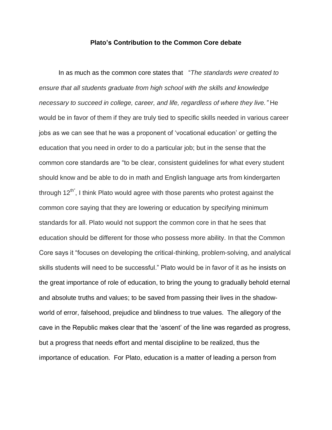## **Plato's Contribution to the Common Core debate**

In as much as the common core states that "*The standards were created to ensure that all students graduate from high school with the skills and knowledge necessary to succeed in college, career, and life, regardless of where they live."* He would be in favor of them if they are truly tied to specific skills needed in various career jobs as we can see that he was a proponent of 'vocational education' or getting the education that you need in order to do a particular job; but in the sense that the common core standards are "to be clear, consistent guidelines for what every student should know and be able to do in math and English language arts from kindergarten through 12<sup>th"</sup>, I think Plato would agree with those parents who protest against the common core saying that they are lowering or education by specifying minimum standards for all. Plato would not support the common core in that he sees that education should be different for those who possess more ability. In that the Common Core says it "focuses on developing the critical-thinking, problem-solving, and analytical skills students will need to be successful." Plato would be in favor of it as he insists on the great importance of role of education, to bring the young to gradually behold eternal and absolute truths and values; to be saved from passing their lives in the shadowworld of error, falsehood, prejudice and blindness to true values. The allegory of the cave in the Republic makes clear that the 'ascent' of the line was regarded as progress, but a progress that needs effort and mental discipline to be realized, thus the importance of education. For Plato, education is a matter of leading a person from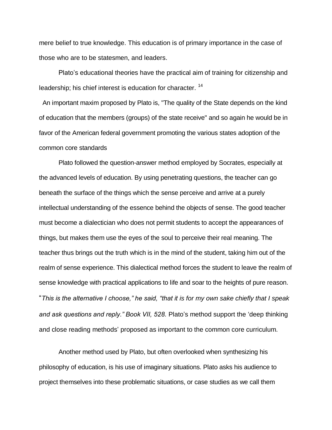mere belief to true knowledge. This education is of primary importance in the case of those who are to be statesmen, and leaders.

Plato's educational theories have the practical aim of training for citizenship and leadership; his chief interest is education for character. <sup>14</sup>

An important maxim proposed by Plato is, "The quality of the State depends on the kind of education that the members (groups) of the state receive" and so again he would be in favor of the American federal government promoting the various states adoption of the common core standards

Plato followed the question-answer method employed by Socrates, especially at the advanced levels of education. By using penetrating questions, the teacher can go beneath the surface of the things which the sense perceive and arrive at a purely intellectual understanding of the essence behind the objects of sense. The good teacher must become a dialectician who does not permit students to accept the appearances of things, but makes them use the eyes of the soul to perceive their real meaning. The teacher thus brings out the truth which is in the mind of the student, taking him out of the realm of sense experience. This dialectical method forces the student to leave the realm of sense knowledge with practical applications to life and soar to the heights of pure reason. "*This is the alternative I choose," he said, "that it is for my own sake chiefly that I speak and ask questions and reply." Book VII, 528.* Plato's method support the 'deep thinking and close reading methods' proposed as important to the common core curriculum.

Another method used by Plato, but often overlooked when synthesizing his philosophy of education, is his use of imaginary situations. Plato asks his audience to project themselves into these problematic situations, or case studies as we call them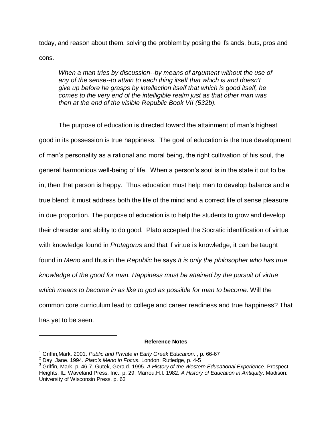today, and reason about them, solving the problem by posing the ifs ands, buts, pros and cons.

*When a man tries by discussion--by means of argument without the use of any of the sense--to attain to each thing itself that which is and doesn't give up before he grasps by intellection itself that which is good itself, he comes to the very end of the intelligible realm just as that other man was then at the end of the visible Republic Book VII (532b).* 

The purpose of education is directed toward the attainment of man's highest good in its possession is true happiness. The goal of education is the true development of man's personality as a rational and moral being, the right cultivation of his soul, the general harmonious well-being of life. When a person's soul is in the state it out to be in, then that person is happy. Thus education must help man to develop balance and a true blend; it must address both the life of the mind and a correct life of sense pleasure in due proportion. The purpose of education is to help the students to grow and develop their character and ability to do good. Plato accepted the Socratic identification of virtue with knowledge found in *Protagorus* and that if virtue is knowledge, it can be taught found in *Meno* and thus in the *Republic* he says *It is only the philosopher who has true knowledge of the good for man. Happiness must be attained by the pursuit of virtue which means to become in as like to god as possible for man to become*. Will the common core curriculum lead to college and career readiness and true happiness? That has yet to be seen.

#### **Reference Notes**

 $\overline{a}$ 

<sup>1</sup> Griffin,Mark. 2001. *Public and Private in Early Greek Education*. , p. 66-67

<sup>2</sup> Day, Jane. 1994. *Plato's Meno in Focus*. London: Rutledge, p. 4-5

<sup>3</sup> Griffin, Mark. p. 46-7, Gutek, Gerald. 1995. *A History of the Western Educational Experience*. Prospect Heights, IL: Waveland Press, Inc., p. 29, Marrou,H.I. 1982. *A History of Education in Antiquity*. Madison: University of Wisconsin Press, p. 63